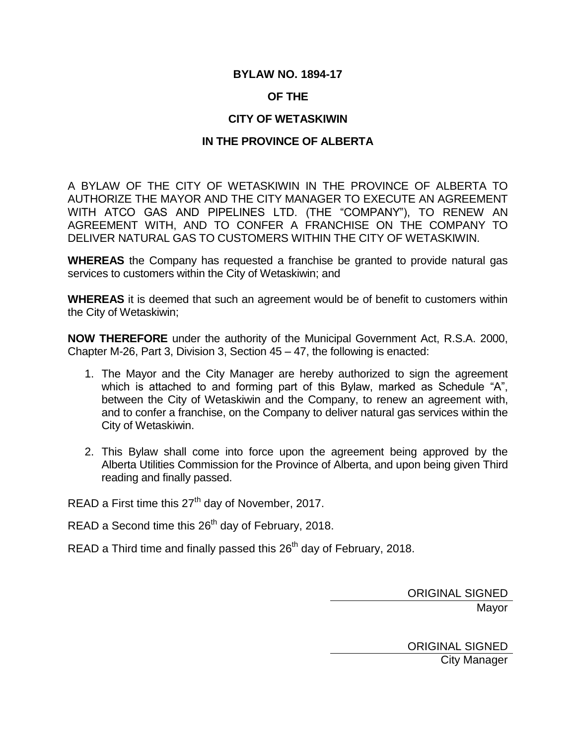# **BYLAW NO. 1894-17**

# **OF THE**

# **CITY OF WETASKIWIN**

# **IN THE PROVINCE OF ALBERTA**

A BYLAW OF THE CITY OF WETASKIWIN IN THE PROVINCE OF ALBERTA TO AUTHORIZE THE MAYOR AND THE CITY MANAGER TO EXECUTE AN AGREEMENT WITH ATCO GAS AND PIPELINES LTD. (THE "COMPANY"), TO RENEW AN AGREEMENT WITH, AND TO CONFER A FRANCHISE ON THE COMPANY TO DELIVER NATURAL GAS TO CUSTOMERS WITHIN THE CITY OF WETASKIWIN.

**WHEREAS** the Company has requested a franchise be granted to provide natural gas services to customers within the City of Wetaskiwin; and

**WHEREAS** it is deemed that such an agreement would be of benefit to customers within the City of Wetaskiwin;

**NOW THEREFORE** under the authority of the Municipal Government Act, R.S.A. 2000, Chapter M-26, Part 3, Division 3, Section 45 – 47, the following is enacted:

- 1. The Mayor and the City Manager are hereby authorized to sign the agreement which is attached to and forming part of this Bylaw, marked as Schedule "A", between the City of Wetaskiwin and the Company, to renew an agreement with, and to confer a franchise, on the Company to deliver natural gas services within the City of Wetaskiwin.
- 2. This Bylaw shall come into force upon the agreement being approved by the Alberta Utilities Commission for the Province of Alberta, and upon being given Third reading and finally passed.

READ a First time this 27<sup>th</sup> day of November, 2017.

READ a Second time this 26<sup>th</sup> day of February, 2018.

READ a Third time and finally passed this  $26<sup>th</sup>$  day of February, 2018.

ORIGINAL SIGNED Mayor

ORIGINAL SIGNED City Manager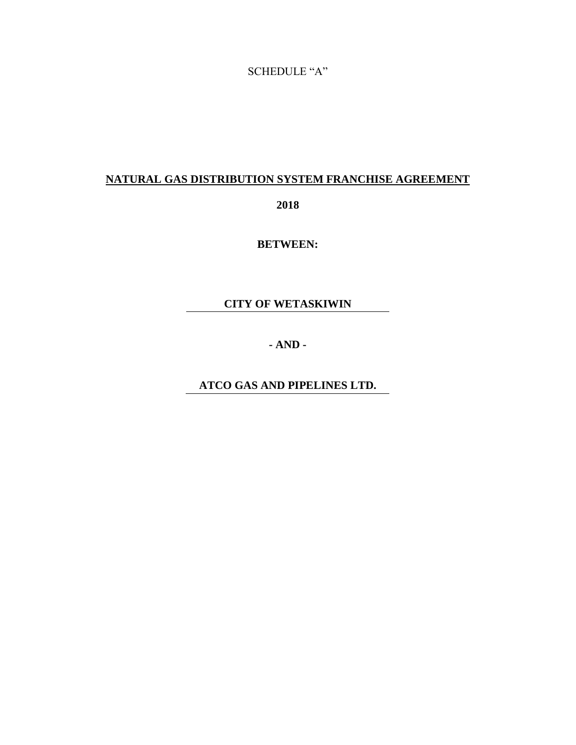# SCHEDULE "A"

# **NATURAL GAS DISTRIBUTION SYSTEM FRANCHISE AGREEMENT**

**2018**

**BETWEEN:**

**CITY OF WETASKIWIN**

**- AND -**

**ATCO GAS AND PIPELINES LTD.**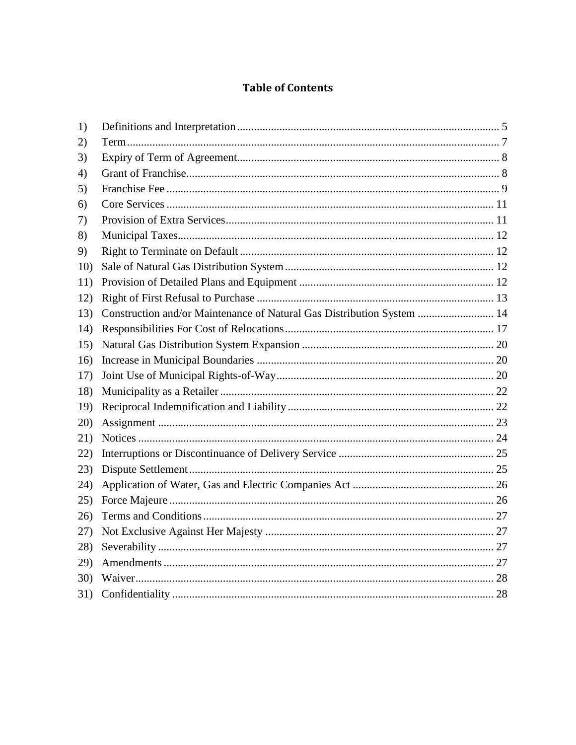# **Table of Contents**

| 1)  |                                                                        |  |
|-----|------------------------------------------------------------------------|--|
| 2)  |                                                                        |  |
| 3)  |                                                                        |  |
| 4)  |                                                                        |  |
| 5)  |                                                                        |  |
| 6)  |                                                                        |  |
| 7)  |                                                                        |  |
| 8)  |                                                                        |  |
| 9)  |                                                                        |  |
| 10) |                                                                        |  |
| 11) |                                                                        |  |
| 12) |                                                                        |  |
| 13) | Construction and/or Maintenance of Natural Gas Distribution System  14 |  |
| 14) |                                                                        |  |
| 15) |                                                                        |  |
| 16) |                                                                        |  |
| 17) |                                                                        |  |
| 18) |                                                                        |  |
| 19) |                                                                        |  |
| 20) |                                                                        |  |
| 21) |                                                                        |  |
| 22) |                                                                        |  |
| 23) |                                                                        |  |
| 24) |                                                                        |  |
| 25) |                                                                        |  |
| 26) |                                                                        |  |
| 27) |                                                                        |  |
| 28) |                                                                        |  |
| 29) |                                                                        |  |
| 30) |                                                                        |  |
| 31) |                                                                        |  |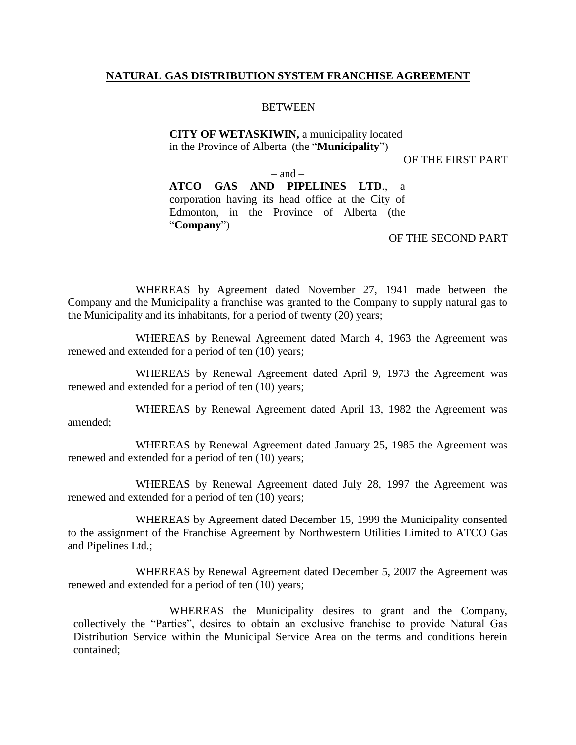### **NATURAL GAS DISTRIBUTION SYSTEM FRANCHISE AGREEMENT**

#### **BETWEEN**

#### **CITY OF WETASKIWIN,** a municipality located in the Province of Alberta (the "**Municipality**")

#### OF THE FIRST PART

– and – **ATCO GAS AND PIPELINES LTD**., a corporation having its head office at the City of Edmonton, in the Province of Alberta (the "**Company**")

OF THE SECOND PART

WHEREAS by Agreement dated November 27, 1941 made between the Company and the Municipality a franchise was granted to the Company to supply natural gas to the Municipality and its inhabitants, for a period of twenty (20) years;

WHEREAS by Renewal Agreement dated March 4, 1963 the Agreement was renewed and extended for a period of ten (10) years;

WHEREAS by Renewal Agreement dated April 9, 1973 the Agreement was renewed and extended for a period of ten (10) years;

WHEREAS by Renewal Agreement dated April 13, 1982 the Agreement was amended;

WHEREAS by Renewal Agreement dated January 25, 1985 the Agreement was renewed and extended for a period of ten (10) years;

WHEREAS by Renewal Agreement dated July 28, 1997 the Agreement was renewed and extended for a period of ten (10) years;

WHEREAS by Agreement dated December 15, 1999 the Municipality consented to the assignment of the Franchise Agreement by Northwestern Utilities Limited to ATCO Gas and Pipelines Ltd.;

WHEREAS by Renewal Agreement dated December 5, 2007 the Agreement was renewed and extended for a period of ten (10) years;

WHEREAS the Municipality desires to grant and the Company, collectively the "Parties", desires to obtain an exclusive franchise to provide Natural Gas Distribution Service within the Municipal Service Area on the terms and conditions herein contained;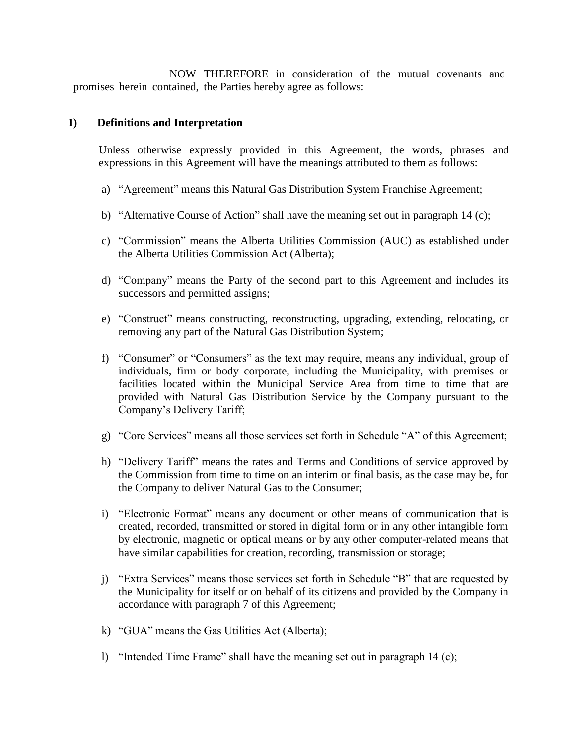NOW THEREFORE in consideration of the mutual covenants and promises herein contained, the Parties hereby agree as follows:

### <span id="page-4-0"></span>**1) Definitions and Interpretation**

Unless otherwise expressly provided in this Agreement, the words, phrases and expressions in this Agreement will have the meanings attributed to them as follows:

- a) "Agreement" means this Natural Gas Distribution System Franchise Agreement;
- b) "Alternative Course of Action" shall have the meaning set out in paragraph 14 (c);
- c) "Commission" means the Alberta Utilities Commission (AUC) as established under the Alberta Utilities Commission Act (Alberta);
- d) "Company" means the Party of the second part to this Agreement and includes its successors and permitted assigns;
- e) "Construct" means constructing, reconstructing, upgrading, extending, relocating, or removing any part of the Natural Gas Distribution System;
- f) "Consumer" or "Consumers" as the text may require, means any individual, group of individuals, firm or body corporate, including the Municipality, with premises or facilities located within the Municipal Service Area from time to time that are provided with Natural Gas Distribution Service by the Company pursuant to the Company's Delivery Tariff;
- g) "Core Services" means all those services set forth in Schedule "A" of this Agreement;
- h) "Delivery Tariff" means the rates and Terms and Conditions of service approved by the Commission from time to time on an interim or final basis, as the case may be, for the Company to deliver Natural Gas to the Consumer;
- i) "Electronic Format" means any document or other means of communication that is created, recorded, transmitted or stored in digital form or in any other intangible form by electronic, magnetic or optical means or by any other computer-related means that have similar capabilities for creation, recording, transmission or storage;
- j) "Extra Services" means those services set forth in Schedule "B" that are requested by the Municipality for itself or on behalf of its citizens and provided by the Company in accordance with paragraph 7 of this Agreement;
- k) "GUA" means the Gas Utilities Act (Alberta);
- l) "Intended Time Frame" shall have the meaning set out in paragraph 14 (c);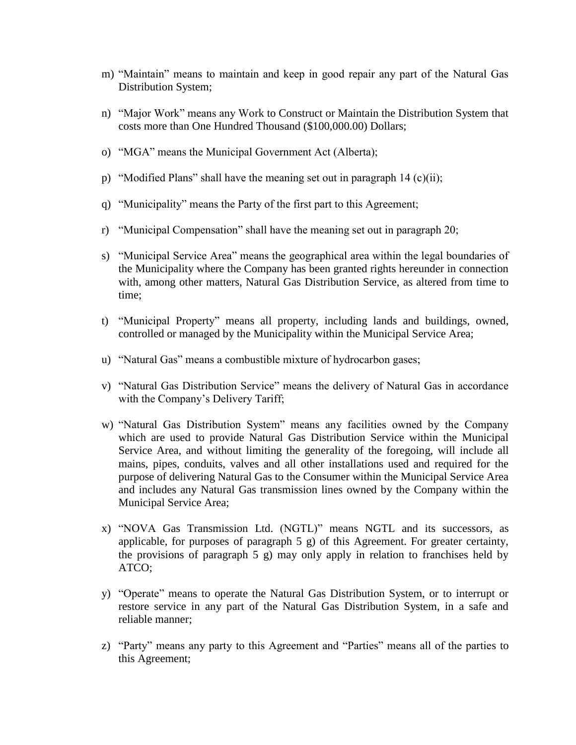- m) "Maintain" means to maintain and keep in good repair any part of the Natural Gas Distribution System;
- n) "Major Work" means any Work to Construct or Maintain the Distribution System that costs more than One Hundred Thousand (\$100,000.00) Dollars;
- o) "MGA" means the Municipal Government Act (Alberta);
- p) "Modified Plans" shall have the meaning set out in paragraph 14 (c)(ii);
- q) "Municipality" means the Party of the first part to this Agreement;
- r) "Municipal Compensation" shall have the meaning set out in paragraph 20;
- s) "Municipal Service Area" means the geographical area within the legal boundaries of the Municipality where the Company has been granted rights hereunder in connection with, among other matters, Natural Gas Distribution Service, as altered from time to time;
- t) "Municipal Property" means all property, including lands and buildings, owned, controlled or managed by the Municipality within the Municipal Service Area;
- u) "Natural Gas" means a combustible mixture of hydrocarbon gases;
- v) "Natural Gas Distribution Service" means the delivery of Natural Gas in accordance with the Company's Delivery Tariff;
- w) "Natural Gas Distribution System" means any facilities owned by the Company which are used to provide Natural Gas Distribution Service within the Municipal Service Area, and without limiting the generality of the foregoing, will include all mains, pipes, conduits, valves and all other installations used and required for the purpose of delivering Natural Gas to the Consumer within the Municipal Service Area and includes any Natural Gas transmission lines owned by the Company within the Municipal Service Area;
- x) "NOVA Gas Transmission Ltd. (NGTL)" means NGTL and its successors, as applicable, for purposes of paragraph 5 g) of this Agreement. For greater certainty, the provisions of paragraph 5 g) may only apply in relation to franchises held by ATCO;
- y) "Operate" means to operate the Natural Gas Distribution System, or to interrupt or restore service in any part of the Natural Gas Distribution System, in a safe and reliable manner;
- z) "Party" means any party to this Agreement and "Parties" means all of the parties to this Agreement;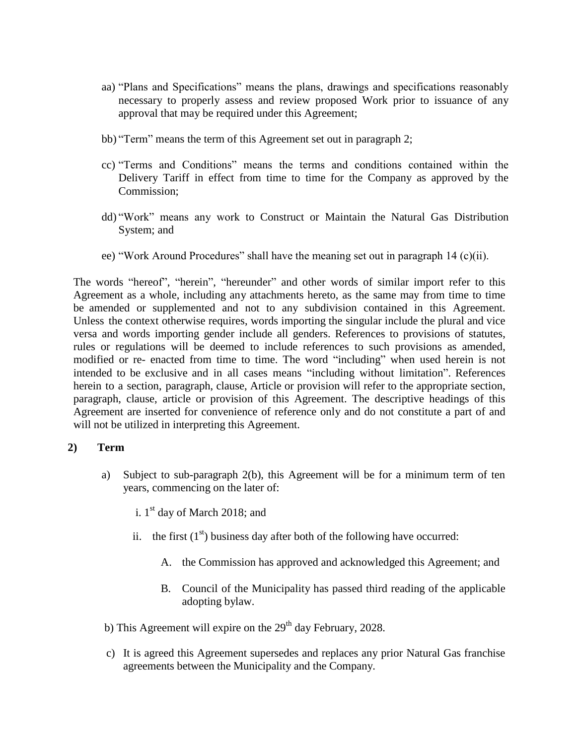- aa) "Plans and Specifications" means the plans, drawings and specifications reasonably necessary to properly assess and review proposed Work prior to issuance of any approval that may be required under this Agreement;
- bb) "Term" means the term of this Agreement set out in paragraph 2;
- cc) "Terms and Conditions" means the terms and conditions contained within the Delivery Tariff in effect from time to time for the Company as approved by the Commission;
- dd) "Work" means any work to Construct or Maintain the Natural Gas Distribution System; and
- ee) "Work Around Procedures" shall have the meaning set out in paragraph 14 (c)(ii).

The words "hereof", "herein", "hereunder" and other words of similar import refer to this Agreement as a whole, including any attachments hereto, as the same may from time to time be amended or supplemented and not to any subdivision contained in this Agreement. Unless the context otherwise requires, words importing the singular include the plural and vice versa and words importing gender include all genders. References to provisions of statutes, rules or regulations will be deemed to include references to such provisions as amended, modified or re- enacted from time to time. The word "including" when used herein is not intended to be exclusive and in all cases means "including without limitation". References herein to a section, paragraph, clause, Article or provision will refer to the appropriate section, paragraph, clause, article or provision of this Agreement. The descriptive headings of this Agreement are inserted for convenience of reference only and do not constitute a part of and will not be utilized in interpreting this Agreement.

#### <span id="page-6-0"></span>**2) Term**

- a) Subject to sub-paragraph 2(b), this Agreement will be for a minimum term of ten years, commencing on the later of:
	- i.  $1<sup>st</sup>$  day of March 2018; and
	- ii. the first  $(1<sup>st</sup>)$  business day after both of the following have occurred:
		- A. the Commission has approved and acknowledged this Agreement; and
		- B. Council of the Municipality has passed third reading of the applicable adopting bylaw.
- b) This Agreement will expire on the  $29<sup>th</sup>$  day February, 2028.
- c) It is agreed this Agreement supersedes and replaces any prior Natural Gas franchise agreements between the Municipality and the Company.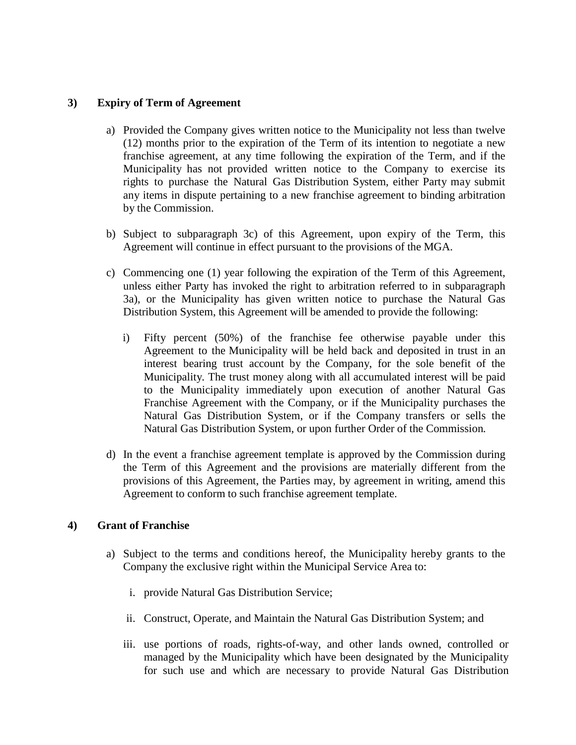# <span id="page-7-0"></span>**3) Expiry of Term of Agreement**

- a) Provided the Company gives written notice to the Municipality not less than twelve (12) months prior to the expiration of the Term of its intention to negotiate a new franchise agreement, at any time following the expiration of the Term, and if the Municipality has not provided written notice to the Company to exercise its rights to purchase the Natural Gas Distribution System, either Party may submit any items in dispute pertaining to a new franchise agreement to binding arbitration by the Commission.
- b) Subject to subparagraph 3c) of this Agreement, upon expiry of the Term, this Agreement will continue in effect pursuant to the provisions of the MGA.
- c) Commencing one (1) year following the expiration of the Term of this Agreement, unless either Party has invoked the right to arbitration referred to in subparagraph 3a), or the Municipality has given written notice to purchase the Natural Gas Distribution System, this Agreement will be amended to provide the following:
	- i) Fifty percent (50%) of the franchise fee otherwise payable under this Agreement to the Municipality will be held back and deposited in trust in an interest bearing trust account by the Company, for the sole benefit of the Municipality. The trust money along with all accumulated interest will be paid to the Municipality immediately upon execution of another Natural Gas Franchise Agreement with the Company, or if the Municipality purchases the Natural Gas Distribution System, or if the Company transfers or sells the Natural Gas Distribution System, or upon further Order of the Commission.
- d) In the event a franchise agreement template is approved by the Commission during the Term of this Agreement and the provisions are materially different from the provisions of this Agreement, the Parties may, by agreement in writing, amend this Agreement to conform to such franchise agreement template.

# <span id="page-7-1"></span>**4) Grant of Franchise**

- a) Subject to the terms and conditions hereof, the Municipality hereby grants to the Company the exclusive right within the Municipal Service Area to:
	- i. provide Natural Gas Distribution Service;
	- ii. Construct, Operate, and Maintain the Natural Gas Distribution System; and
	- iii. use portions of roads, rights-of-way, and other lands owned, controlled or managed by the Municipality which have been designated by the Municipality for such use and which are necessary to provide Natural Gas Distribution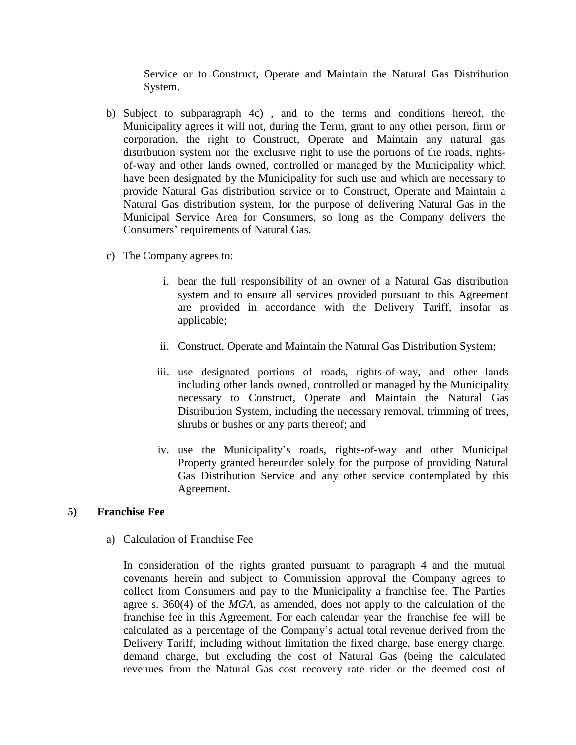Service or to Construct, Operate and Maintain the Natural Gas Distribution System.

- b) Subject to subparagraph 4c) , and to the terms and conditions hereof, the Municipality agrees it will not, during the Term, grant to any other person, firm or corporation, the right to Construct, Operate and Maintain any natural gas distribution system nor the exclusive right to use the portions of the roads, rightsof-way and other lands owned, controlled or managed by the Municipality which have been designated by the Municipality for such use and which are necessary to provide Natural Gas distribution service or to Construct, Operate and Maintain a Natural Gas distribution system, for the purpose of delivering Natural Gas in the Municipal Service Area for Consumers, so long as the Company delivers the Consumers' requirements of Natural Gas.
- c) The Company agrees to:
	- i. bear the full responsibility of an owner of a Natural Gas distribution system and to ensure all services provided pursuant to this Agreement are provided in accordance with the Delivery Tariff, insofar as applicable;
	- ii. Construct, Operate and Maintain the Natural Gas Distribution System;
	- iii. use designated portions of roads, rights-of-way, and other lands including other lands owned, controlled or managed by the Municipality necessary to Construct, Operate and Maintain the Natural Gas Distribution System, including the necessary removal, trimming of trees, shrubs or bushes or any parts thereof; and
	- iv. use the Municipality's roads, rights-of-way and other Municipal Property granted hereunder solely for the purpose of providing Natural Gas Distribution Service and any other service contemplated by this Agreement.

# <span id="page-8-0"></span>**5) Franchise Fee**

a) Calculation of Franchise Fee

In consideration of the rights granted pursuant to paragraph 4 and the mutual covenants herein and subject to Commission approval the Company agrees to collect from Consumers and pay to the Municipality a franchise fee. The Parties agree s. 360(4) of the *MGA*, as amended, does not apply to the calculation of the franchise fee in this Agreement. For each calendar year the franchise fee will be calculated as a percentage of the Company's actual total revenue derived from the Delivery Tariff, including without limitation the fixed charge, base energy charge, demand charge, but excluding the cost of Natural Gas (being the calculated revenues from the Natural Gas cost recovery rate rider or the deemed cost of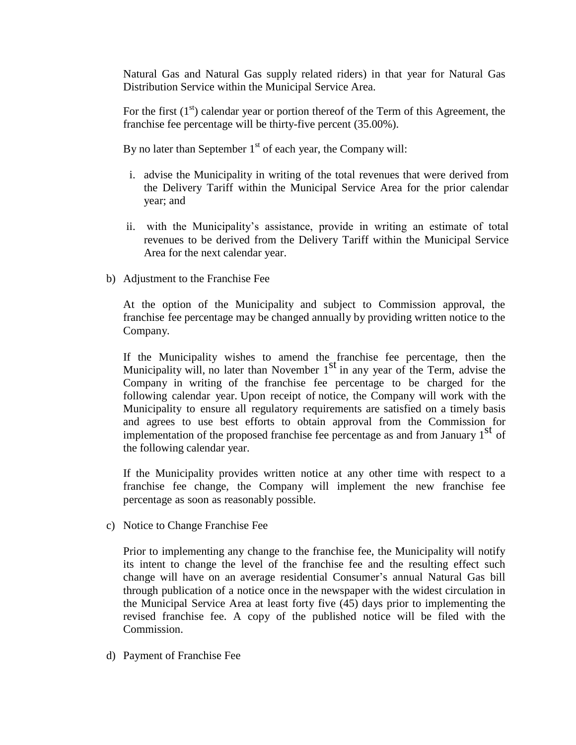Natural Gas and Natural Gas supply related riders) in that year for Natural Gas Distribution Service within the Municipal Service Area.

For the first  $(1<sup>st</sup>)$  calendar year or portion thereof of the Term of this Agreement, the franchise fee percentage will be thirty-five percent (35.00%).

By no later than September  $1<sup>st</sup>$  of each year, the Company will:

- i. advise the Municipality in writing of the total revenues that were derived from the Delivery Tariff within the Municipal Service Area for the prior calendar year; and
- ii. with the Municipality's assistance, provide in writing an estimate of total revenues to be derived from the Delivery Tariff within the Municipal Service Area for the next calendar year.
- b) Adjustment to the Franchise Fee

At the option of the Municipality and subject to Commission approval, the franchise fee percentage may be changed annually by providing written notice to the Company.

If the Municipality wishes to amend the franchise fee percentage, then the Municipality will, no later than November 1<sup>st</sup> in any year of the Term, advise the Company in writing of the franchise fee percentage to be charged for the following calendar year. Upon receipt of notice, the Company will work with the Municipality to ensure all regulatory requirements are satisfied on a timely basis and agrees to use best efforts to obtain approval from the Commission for implementation of the proposed franchise fee percentage as and from January  $1<sup>st</sup>$  of the following calendar year.

If the Municipality provides written notice at any other time with respect to a franchise fee change, the Company will implement the new franchise fee percentage as soon as reasonably possible.

c) Notice to Change Franchise Fee

Prior to implementing any change to the franchise fee, the Municipality will notify its intent to change the level of the franchise fee and the resulting effect such change will have on an average residential Consumer's annual Natural Gas bill through publication of a notice once in the newspaper with the widest circulation in the Municipal Service Area at least forty five (45) days prior to implementing the revised franchise fee. A copy of the published notice will be filed with the Commission.

d) Payment of Franchise Fee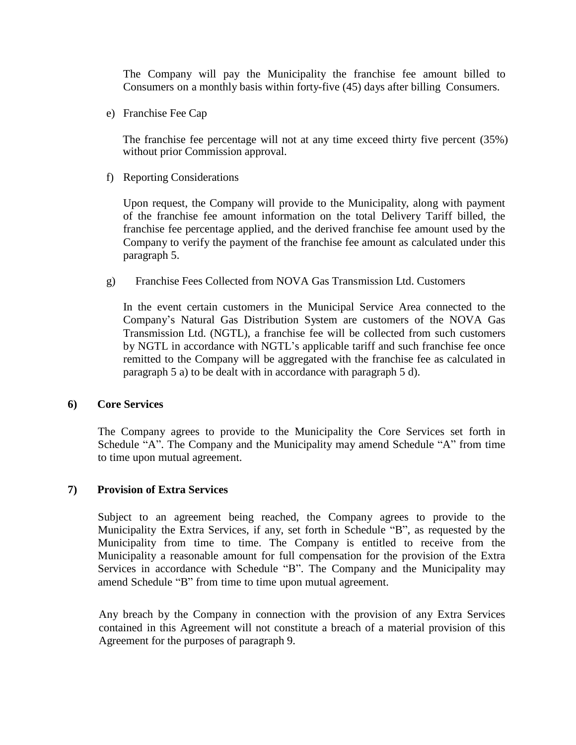The Company will pay the Municipality the franchise fee amount billed to Consumers on a monthly basis within forty-five (45) days after billing Consumers.

e) Franchise Fee Cap

The franchise fee percentage will not at any time exceed thirty five percent (35%) without prior Commission approval.

f) Reporting Considerations

Upon request, the Company will provide to the Municipality, along with payment of the franchise fee amount information on the total Delivery Tariff billed, the franchise fee percentage applied, and the derived franchise fee amount used by the Company to verify the payment of the franchise fee amount as calculated under this paragraph 5.

g) Franchise Fees Collected from NOVA Gas Transmission Ltd. Customers

In the event certain customers in the Municipal Service Area connected to the Company's Natural Gas Distribution System are customers of the NOVA Gas Transmission Ltd. (NGTL), a franchise fee will be collected from such customers by NGTL in accordance with NGTL's applicable tariff and such franchise fee once remitted to the Company will be aggregated with the franchise fee as calculated in paragraph 5 a) to be dealt with in accordance with paragraph 5 d).

### <span id="page-10-0"></span>**6) Core Services**

The Company agrees to provide to the Municipality the Core Services set forth in Schedule "A". The Company and the Municipality may amend Schedule "A" from time to time upon mutual agreement.

### <span id="page-10-1"></span>**7) Provision of Extra Services**

Subject to an agreement being reached, the Company agrees to provide to the Municipality the Extra Services, if any, set forth in Schedule "B", as requested by the Municipality from time to time. The Company is entitled to receive from the Municipality a reasonable amount for full compensation for the provision of the Extra Services in accordance with Schedule "B". The Company and the Municipality may amend Schedule "B" from time to time upon mutual agreement.

Any breach by the Company in connection with the provision of any Extra Services contained in this Agreement will not constitute a breach of a material provision of this Agreement for the purposes of paragraph 9.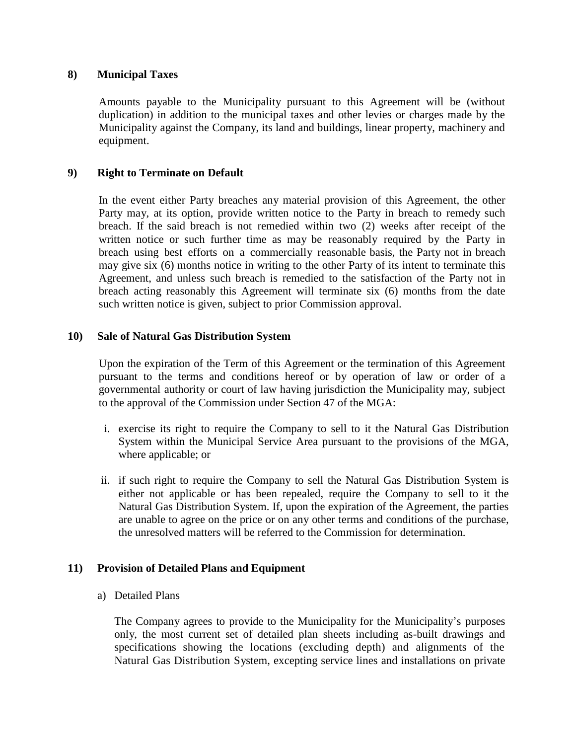### <span id="page-11-0"></span>**8) Municipal Taxes**

Amounts payable to the Municipality pursuant to this Agreement will be (without duplication) in addition to the municipal taxes and other levies or charges made by the Municipality against the Company, its land and buildings, linear property, machinery and equipment.

### <span id="page-11-1"></span>**9) Right to Terminate on Default**

In the event either Party breaches any material provision of this Agreement, the other Party may, at its option, provide written notice to the Party in breach to remedy such breach. If the said breach is not remedied within two (2) weeks after receipt of the written notice or such further time as may be reasonably required by the Party in breach using best efforts on a commercially reasonable basis, the Party not in breach may give six (6) months notice in writing to the other Party of its intent to terminate this Agreement, and unless such breach is remedied to the satisfaction of the Party not in breach acting reasonably this Agreement will terminate six (6) months from the date such written notice is given, subject to prior Commission approval.

### <span id="page-11-2"></span>**10) Sale of Natural Gas Distribution System**

Upon the expiration of the Term of this Agreement or the termination of this Agreement pursuant to the terms and conditions hereof or by operation of law or order of a governmental authority or court of law having jurisdiction the Municipality may, subject to the approval of the Commission under Section 47 of the MGA:

- i. exercise its right to require the Company to sell to it the Natural Gas Distribution System within the Municipal Service Area pursuant to the provisions of the MGA, where applicable; or
- ii. if such right to require the Company to sell the Natural Gas Distribution System is either not applicable or has been repealed, require the Company to sell to it the Natural Gas Distribution System. If, upon the expiration of the Agreement, the parties are unable to agree on the price or on any other terms and conditions of the purchase, the unresolved matters will be referred to the Commission for determination.

### <span id="page-11-3"></span>**11) Provision of Detailed Plans and Equipment**

a) Detailed Plans

The Company agrees to provide to the Municipality for the Municipality's purposes only, the most current set of detailed plan sheets including as-built drawings and specifications showing the locations (excluding depth) and alignments of the Natural Gas Distribution System, excepting service lines and installations on private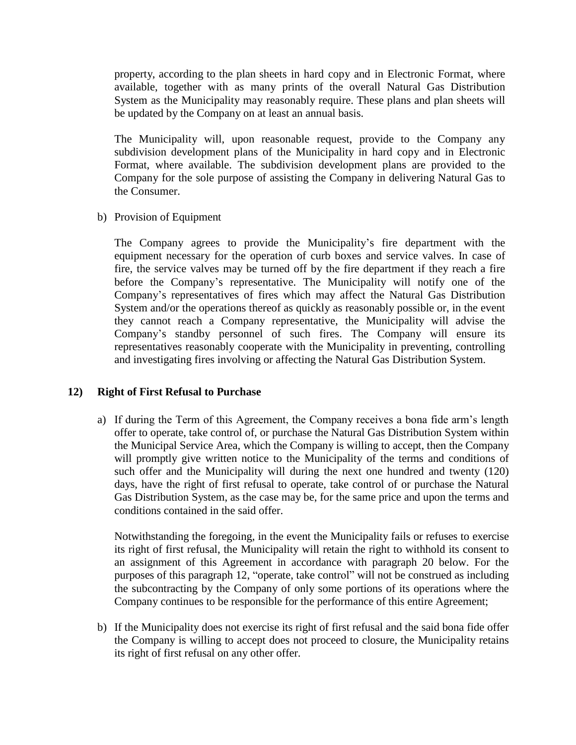property, according to the plan sheets in hard copy and in Electronic Format, where available, together with as many prints of the overall Natural Gas Distribution System as the Municipality may reasonably require. These plans and plan sheets will be updated by the Company on at least an annual basis.

The Municipality will, upon reasonable request, provide to the Company any subdivision development plans of the Municipality in hard copy and in Electronic Format, where available. The subdivision development plans are provided to the Company for the sole purpose of assisting the Company in delivering Natural Gas to the Consumer.

b) Provision of Equipment

The Company agrees to provide the Municipality's fire department with the equipment necessary for the operation of curb boxes and service valves. In case of fire, the service valves may be turned off by the fire department if they reach a fire before the Company's representative. The Municipality will notify one of the Company's representatives of fires which may affect the Natural Gas Distribution System and/or the operations thereof as quickly as reasonably possible or, in the event they cannot reach a Company representative, the Municipality will advise the Company's standby personnel of such fires. The Company will ensure its representatives reasonably cooperate with the Municipality in preventing, controlling and investigating fires involving or affecting the Natural Gas Distribution System.

### <span id="page-12-0"></span>**12) Right of First Refusal to Purchase**

a) If during the Term of this Agreement, the Company receives a bona fide arm's length offer to operate, take control of, or purchase the Natural Gas Distribution System within the Municipal Service Area, which the Company is willing to accept, then the Company will promptly give written notice to the Municipality of the terms and conditions of such offer and the Municipality will during the next one hundred and twenty (120) days, have the right of first refusal to operate, take control of or purchase the Natural Gas Distribution System, as the case may be, for the same price and upon the terms and conditions contained in the said offer.

Notwithstanding the foregoing, in the event the Municipality fails or refuses to exercise its right of first refusal, the Municipality will retain the right to withhold its consent to an assignment of this Agreement in accordance with paragraph 20 below. For the purposes of this paragraph 12, "operate, take control" will not be construed as including the subcontracting by the Company of only some portions of its operations where the Company continues to be responsible for the performance of this entire Agreement;

b) If the Municipality does not exercise its right of first refusal and the said bona fide offer the Company is willing to accept does not proceed to closure, the Municipality retains its right of first refusal on any other offer.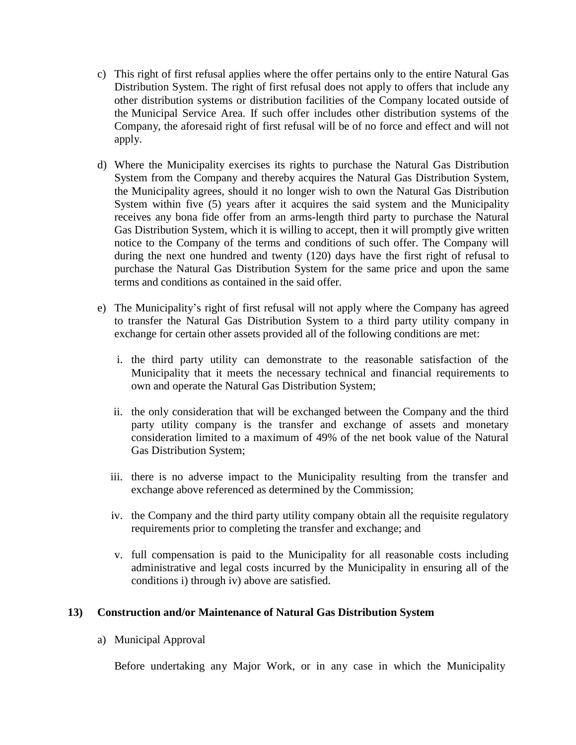- c) This right of first refusal applies where the offer pertains only to the entire Natural Gas Distribution System. The right of first refusal does not apply to offers that include any other distribution systems or distribution facilities of the Company located outside of the Municipal Service Area. If such offer includes other distribution systems of the Company, the aforesaid right of first refusal will be of no force and effect and will not apply.
- d) Where the Municipality exercises its rights to purchase the Natural Gas Distribution System from the Company and thereby acquires the Natural Gas Distribution System, the Municipality agrees, should it no longer wish to own the Natural Gas Distribution System within five (5) years after it acquires the said system and the Municipality receives any bona fide offer from an arms-length third party to purchase the Natural Gas Distribution System, which it is willing to accept, then it will promptly give written notice to the Company of the terms and conditions of such offer. The Company will during the next one hundred and twenty (120) days have the first right of refusal to purchase the Natural Gas Distribution System for the same price and upon the same terms and conditions as contained in the said offer.
- e) The Municipality's right of first refusal will not apply where the Company has agreed to transfer the Natural Gas Distribution System to a third party utility company in exchange for certain other assets provided all of the following conditions are met:
	- i. the third party utility can demonstrate to the reasonable satisfaction of the Municipality that it meets the necessary technical and financial requirements to own and operate the Natural Gas Distribution System;
	- ii. the only consideration that will be exchanged between the Company and the third party utility company is the transfer and exchange of assets and monetary consideration limited to a maximum of 49% of the net book value of the Natural Gas Distribution System;
	- iii. there is no adverse impact to the Municipality resulting from the transfer and exchange above referenced as determined by the Commission;
	- iv. the Company and the third party utility company obtain all the requisite regulatory requirements prior to completing the transfer and exchange; and
	- v. full compensation is paid to the Municipality for all reasonable costs including administrative and legal costs incurred by the Municipality in ensuring all of the conditions i) through iv) above are satisfied.

# <span id="page-13-0"></span>**13) Construction and/or Maintenance of Natural Gas Distribution System**

a) Municipal Approval

Before undertaking any Major Work, or in any case in which the Municipality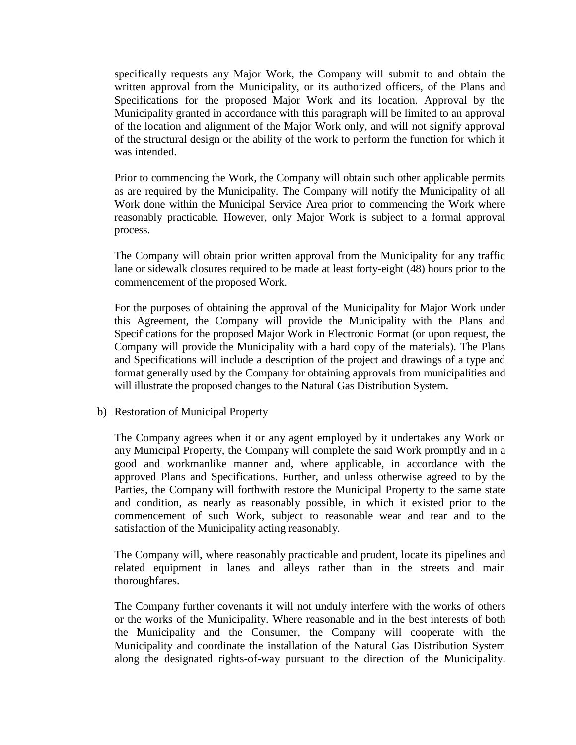specifically requests any Major Work, the Company will submit to and obtain the written approval from the Municipality, or its authorized officers, of the Plans and Specifications for the proposed Major Work and its location. Approval by the Municipality granted in accordance with this paragraph will be limited to an approval of the location and alignment of the Major Work only, and will not signify approval of the structural design or the ability of the work to perform the function for which it was intended.

Prior to commencing the Work, the Company will obtain such other applicable permits as are required by the Municipality. The Company will notify the Municipality of all Work done within the Municipal Service Area prior to commencing the Work where reasonably practicable. However, only Major Work is subject to a formal approval process.

The Company will obtain prior written approval from the Municipality for any traffic lane or sidewalk closures required to be made at least forty-eight (48) hours prior to the commencement of the proposed Work.

For the purposes of obtaining the approval of the Municipality for Major Work under this Agreement, the Company will provide the Municipality with the Plans and Specifications for the proposed Major Work in Electronic Format (or upon request, the Company will provide the Municipality with a hard copy of the materials). The Plans and Specifications will include a description of the project and drawings of a type and format generally used by the Company for obtaining approvals from municipalities and will illustrate the proposed changes to the Natural Gas Distribution System.

b) Restoration of Municipal Property

The Company agrees when it or any agent employed by it undertakes any Work on any Municipal Property, the Company will complete the said Work promptly and in a good and workmanlike manner and, where applicable, in accordance with the approved Plans and Specifications. Further, and unless otherwise agreed to by the Parties, the Company will forthwith restore the Municipal Property to the same state and condition, as nearly as reasonably possible, in which it existed prior to the commencement of such Work, subject to reasonable wear and tear and to the satisfaction of the Municipality acting reasonably.

The Company will, where reasonably practicable and prudent, locate its pipelines and related equipment in lanes and alleys rather than in the streets and main thoroughfares.

The Company further covenants it will not unduly interfere with the works of others or the works of the Municipality. Where reasonable and in the best interests of both the Municipality and the Consumer, the Company will cooperate with the Municipality and coordinate the installation of the Natural Gas Distribution System along the designated rights-of-way pursuant to the direction of the Municipality.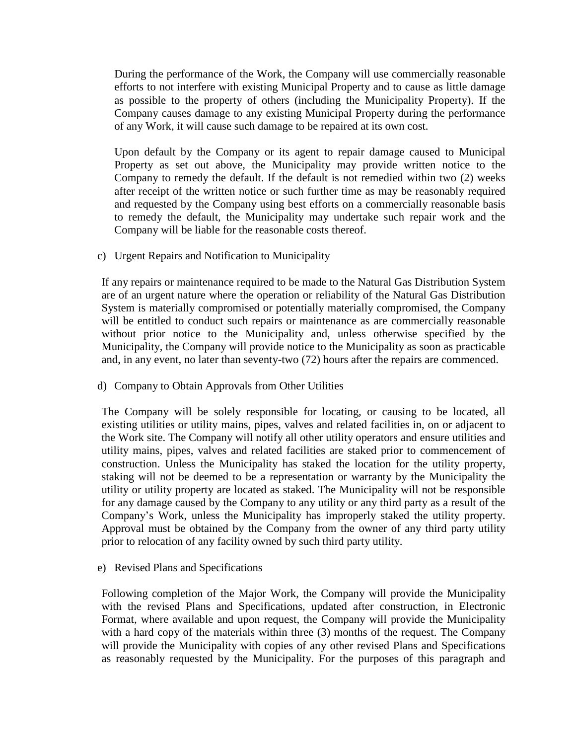During the performance of the Work, the Company will use commercially reasonable efforts to not interfere with existing Municipal Property and to cause as little damage as possible to the property of others (including the Municipality Property). If the Company causes damage to any existing Municipal Property during the performance of any Work, it will cause such damage to be repaired at its own cost.

Upon default by the Company or its agent to repair damage caused to Municipal Property as set out above, the Municipality may provide written notice to the Company to remedy the default. If the default is not remedied within two (2) weeks after receipt of the written notice or such further time as may be reasonably required and requested by the Company using best efforts on a commercially reasonable basis to remedy the default, the Municipality may undertake such repair work and the Company will be liable for the reasonable costs thereof.

c) Urgent Repairs and Notification to Municipality

If any repairs or maintenance required to be made to the Natural Gas Distribution System are of an urgent nature where the operation or reliability of the Natural Gas Distribution System is materially compromised or potentially materially compromised, the Company will be entitled to conduct such repairs or maintenance as are commercially reasonable without prior notice to the Municipality and, unless otherwise specified by the Municipality, the Company will provide notice to the Municipality as soon as practicable and, in any event, no later than seventy-two (72) hours after the repairs are commenced.

d) Company to Obtain Approvals from Other Utilities

The Company will be solely responsible for locating, or causing to be located, all existing utilities or utility mains, pipes, valves and related facilities in, on or adjacent to the Work site. The Company will notify all other utility operators and ensure utilities and utility mains, pipes, valves and related facilities are staked prior to commencement of construction. Unless the Municipality has staked the location for the utility property, staking will not be deemed to be a representation or warranty by the Municipality the utility or utility property are located as staked. The Municipality will not be responsible for any damage caused by the Company to any utility or any third party as a result of the Company's Work, unless the Municipality has improperly staked the utility property. Approval must be obtained by the Company from the owner of any third party utility prior to relocation of any facility owned by such third party utility.

e) Revised Plans and Specifications

Following completion of the Major Work, the Company will provide the Municipality with the revised Plans and Specifications, updated after construction, in Electronic Format, where available and upon request, the Company will provide the Municipality with a hard copy of the materials within three (3) months of the request. The Company will provide the Municipality with copies of any other revised Plans and Specifications as reasonably requested by the Municipality. For the purposes of this paragraph and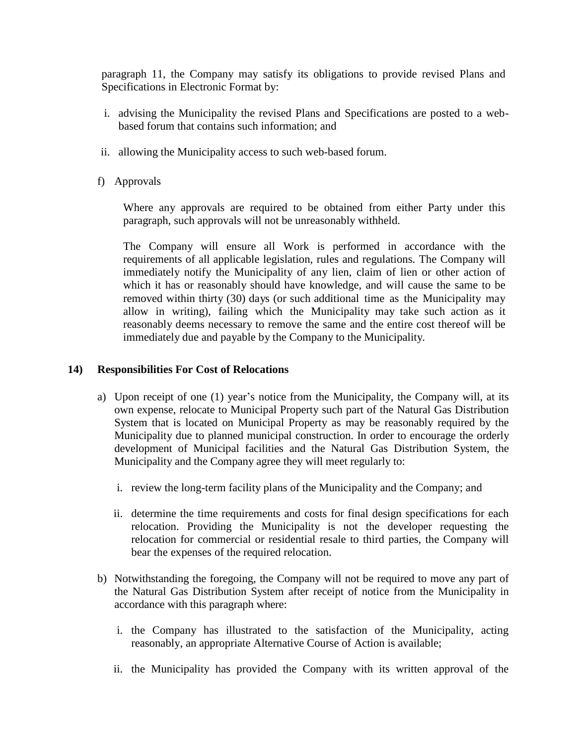paragraph 11, the Company may satisfy its obligations to provide revised Plans and Specifications in Electronic Format by:

- i. advising the Municipality the revised Plans and Specifications are posted to a webbased forum that contains such information; and
- ii. allowing the Municipality access to such web-based forum.
- f) Approvals

Where any approvals are required to be obtained from either Party under this paragraph, such approvals will not be unreasonably withheld.

The Company will ensure all Work is performed in accordance with the requirements of all applicable legislation, rules and regulations. The Company will immediately notify the Municipality of any lien, claim of lien or other action of which it has or reasonably should have knowledge, and will cause the same to be removed within thirty (30) days (or such additional time as the Municipality may allow in writing), failing which the Municipality may take such action as it reasonably deems necessary to remove the same and the entire cost thereof will be immediately due and payable by the Company to the Municipality.

### <span id="page-16-0"></span>**14) Responsibilities For Cost of Relocations**

- a) Upon receipt of one (1) year's notice from the Municipality, the Company will, at its own expense, relocate to Municipal Property such part of the Natural Gas Distribution System that is located on Municipal Property as may be reasonably required by the Municipality due to planned municipal construction. In order to encourage the orderly development of Municipal facilities and the Natural Gas Distribution System, the Municipality and the Company agree they will meet regularly to:
	- i. review the long-term facility plans of the Municipality and the Company; and
	- ii. determine the time requirements and costs for final design specifications for each relocation. Providing the Municipality is not the developer requesting the relocation for commercial or residential resale to third parties, the Company will bear the expenses of the required relocation.
- b) Notwithstanding the foregoing, the Company will not be required to move any part of the Natural Gas Distribution System after receipt of notice from the Municipality in accordance with this paragraph where:
	- i. the Company has illustrated to the satisfaction of the Municipality, acting reasonably, an appropriate Alternative Course of Action is available;
	- ii. the Municipality has provided the Company with its written approval of the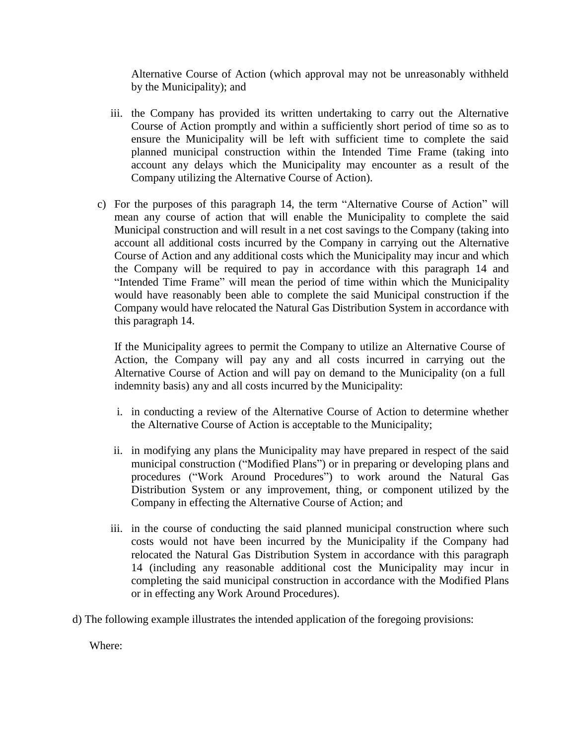Alternative Course of Action (which approval may not be unreasonably withheld by the Municipality); and

- iii. the Company has provided its written undertaking to carry out the Alternative Course of Action promptly and within a sufficiently short period of time so as to ensure the Municipality will be left with sufficient time to complete the said planned municipal construction within the Intended Time Frame (taking into account any delays which the Municipality may encounter as a result of the Company utilizing the Alternative Course of Action).
- c) For the purposes of this paragraph 14, the term "Alternative Course of Action" will mean any course of action that will enable the Municipality to complete the said Municipal construction and will result in a net cost savings to the Company (taking into account all additional costs incurred by the Company in carrying out the Alternative Course of Action and any additional costs which the Municipality may incur and which the Company will be required to pay in accordance with this paragraph 14 and "Intended Time Frame" will mean the period of time within which the Municipality would have reasonably been able to complete the said Municipal construction if the Company would have relocated the Natural Gas Distribution System in accordance with this paragraph 14.

If the Municipality agrees to permit the Company to utilize an Alternative Course of Action, the Company will pay any and all costs incurred in carrying out the Alternative Course of Action and will pay on demand to the Municipality (on a full indemnity basis) any and all costs incurred by the Municipality:

- i. in conducting a review of the Alternative Course of Action to determine whether the Alternative Course of Action is acceptable to the Municipality;
- ii. in modifying any plans the Municipality may have prepared in respect of the said municipal construction ("Modified Plans") or in preparing or developing plans and procedures ("Work Around Procedures") to work around the Natural Gas Distribution System or any improvement, thing, or component utilized by the Company in effecting the Alternative Course of Action; and
- iii. in the course of conducting the said planned municipal construction where such costs would not have been incurred by the Municipality if the Company had relocated the Natural Gas Distribution System in accordance with this paragraph 14 (including any reasonable additional cost the Municipality may incur in completing the said municipal construction in accordance with the Modified Plans or in effecting any Work Around Procedures).
- d) The following example illustrates the intended application of the foregoing provisions:

Where: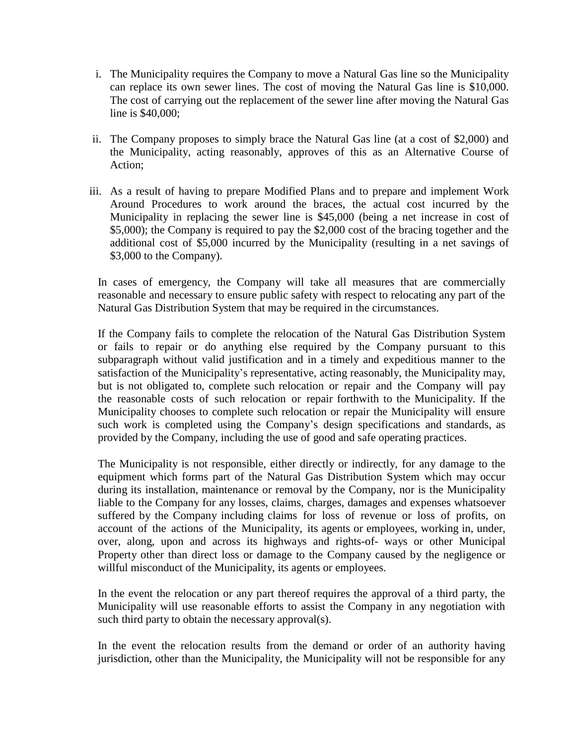- i. The Municipality requires the Company to move a Natural Gas line so the Municipality can replace its own sewer lines. The cost of moving the Natural Gas line is \$10,000. The cost of carrying out the replacement of the sewer line after moving the Natural Gas line is \$40,000;
- ii. The Company proposes to simply brace the Natural Gas line (at a cost of \$2,000) and the Municipality, acting reasonably, approves of this as an Alternative Course of Action;
- iii. As a result of having to prepare Modified Plans and to prepare and implement Work Around Procedures to work around the braces, the actual cost incurred by the Municipality in replacing the sewer line is \$45,000 (being a net increase in cost of \$5,000); the Company is required to pay the \$2,000 cost of the bracing together and the additional cost of \$5,000 incurred by the Municipality (resulting in a net savings of \$3,000 to the Company).

In cases of emergency, the Company will take all measures that are commercially reasonable and necessary to ensure public safety with respect to relocating any part of the Natural Gas Distribution System that may be required in the circumstances.

If the Company fails to complete the relocation of the Natural Gas Distribution System or fails to repair or do anything else required by the Company pursuant to this subparagraph without valid justification and in a timely and expeditious manner to the satisfaction of the Municipality's representative, acting reasonably, the Municipality may, but is not obligated to, complete such relocation or repair and the Company will pay the reasonable costs of such relocation or repair forthwith to the Municipality. If the Municipality chooses to complete such relocation or repair the Municipality will ensure such work is completed using the Company's design specifications and standards, as provided by the Company, including the use of good and safe operating practices.

The Municipality is not responsible, either directly or indirectly, for any damage to the equipment which forms part of the Natural Gas Distribution System which may occur during its installation, maintenance or removal by the Company, nor is the Municipality liable to the Company for any losses, claims, charges, damages and expenses whatsoever suffered by the Company including claims for loss of revenue or loss of profits, on account of the actions of the Municipality, its agents or employees, working in, under, over, along, upon and across its highways and rights-of- ways or other Municipal Property other than direct loss or damage to the Company caused by the negligence or willful misconduct of the Municipality, its agents or employees.

In the event the relocation or any part thereof requires the approval of a third party, the Municipality will use reasonable efforts to assist the Company in any negotiation with such third party to obtain the necessary approval(s).

In the event the relocation results from the demand or order of an authority having jurisdiction, other than the Municipality, the Municipality will not be responsible for any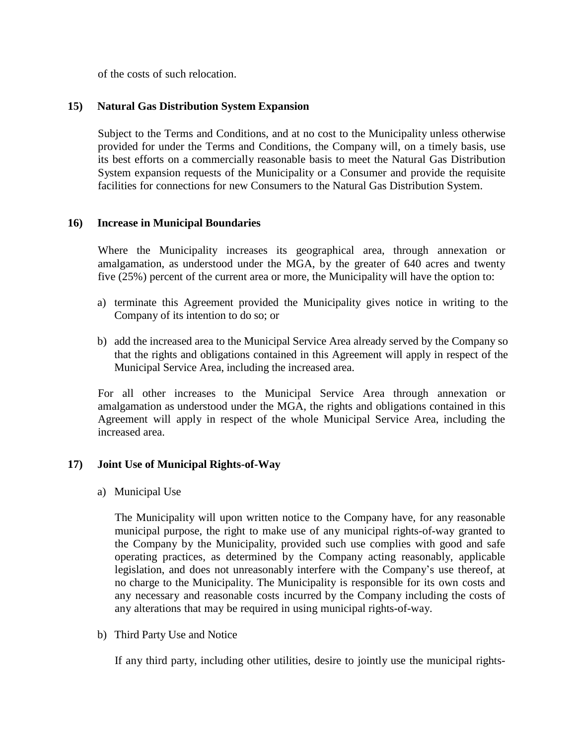of the costs of such relocation.

### <span id="page-19-0"></span>**15) Natural Gas Distribution System Expansion**

Subject to the Terms and Conditions, and at no cost to the Municipality unless otherwise provided for under the Terms and Conditions, the Company will, on a timely basis, use its best efforts on a commercially reasonable basis to meet the Natural Gas Distribution System expansion requests of the Municipality or a Consumer and provide the requisite facilities for connections for new Consumers to the Natural Gas Distribution System.

# <span id="page-19-1"></span>**16) Increase in Municipal Boundaries**

Where the Municipality increases its geographical area, through annexation or amalgamation, as understood under the MGA, by the greater of 640 acres and twenty five (25%) percent of the current area or more, the Municipality will have the option to:

- a) terminate this Agreement provided the Municipality gives notice in writing to the Company of its intention to do so; or
- b) add the increased area to the Municipal Service Area already served by the Company so that the rights and obligations contained in this Agreement will apply in respect of the Municipal Service Area, including the increased area.

For all other increases to the Municipal Service Area through annexation or amalgamation as understood under the MGA, the rights and obligations contained in this Agreement will apply in respect of the whole Municipal Service Area, including the increased area.

### <span id="page-19-2"></span>**17) Joint Use of Municipal Rights-of-Way**

a) Municipal Use

The Municipality will upon written notice to the Company have, for any reasonable municipal purpose, the right to make use of any municipal rights-of-way granted to the Company by the Municipality, provided such use complies with good and safe operating practices, as determined by the Company acting reasonably, applicable legislation, and does not unreasonably interfere with the Company's use thereof, at no charge to the Municipality. The Municipality is responsible for its own costs and any necessary and reasonable costs incurred by the Company including the costs of any alterations that may be required in using municipal rights-of-way.

b) Third Party Use and Notice

If any third party, including other utilities, desire to jointly use the municipal rights-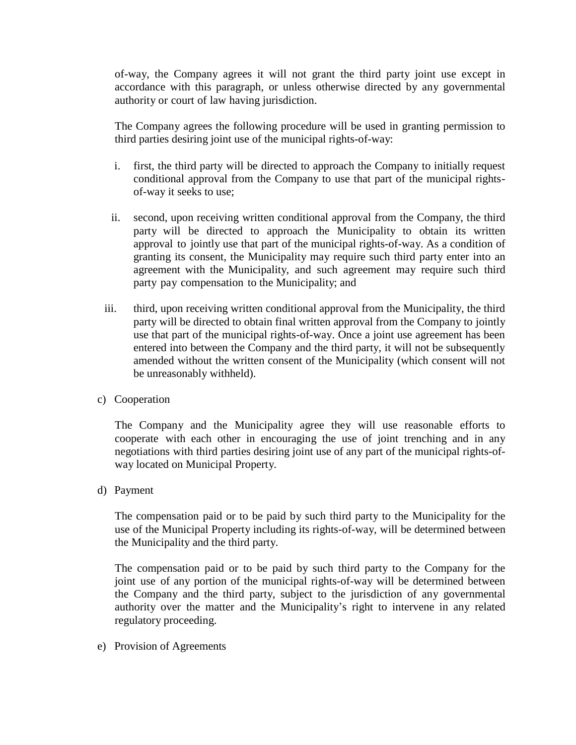of-way, the Company agrees it will not grant the third party joint use except in accordance with this paragraph, or unless otherwise directed by any governmental authority or court of law having jurisdiction.

The Company agrees the following procedure will be used in granting permission to third parties desiring joint use of the municipal rights-of-way:

- i. first, the third party will be directed to approach the Company to initially request conditional approval from the Company to use that part of the municipal rightsof-way it seeks to use;
- ii. second, upon receiving written conditional approval from the Company, the third party will be directed to approach the Municipality to obtain its written approval to jointly use that part of the municipal rights-of-way. As a condition of granting its consent, the Municipality may require such third party enter into an agreement with the Municipality, and such agreement may require such third party pay compensation to the Municipality; and
- iii. third, upon receiving written conditional approval from the Municipality, the third party will be directed to obtain final written approval from the Company to jointly use that part of the municipal rights-of-way. Once a joint use agreement has been entered into between the Company and the third party, it will not be subsequently amended without the written consent of the Municipality (which consent will not be unreasonably withheld).
- c) Cooperation

The Company and the Municipality agree they will use reasonable efforts to cooperate with each other in encouraging the use of joint trenching and in any negotiations with third parties desiring joint use of any part of the municipal rights-ofway located on Municipal Property.

d) Payment

The compensation paid or to be paid by such third party to the Municipality for the use of the Municipal Property including its rights-of-way, will be determined between the Municipality and the third party.

The compensation paid or to be paid by such third party to the Company for the joint use of any portion of the municipal rights-of-way will be determined between the Company and the third party, subject to the jurisdiction of any governmental authority over the matter and the Municipality's right to intervene in any related regulatory proceeding.

e) Provision of Agreements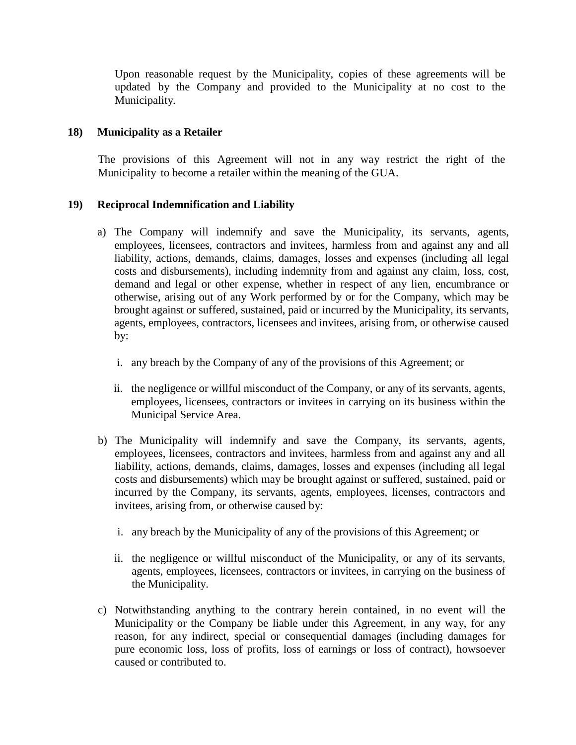Upon reasonable request by the Municipality, copies of these agreements will be updated by the Company and provided to the Municipality at no cost to the Municipality.

# <span id="page-21-0"></span>**18) Municipality as a Retailer**

The provisions of this Agreement will not in any way restrict the right of the Municipality to become a retailer within the meaning of the GUA.

# <span id="page-21-1"></span>**19) Reciprocal Indemnification and Liability**

- a) The Company will indemnify and save the Municipality, its servants, agents, employees, licensees, contractors and invitees, harmless from and against any and all liability, actions, demands, claims, damages, losses and expenses (including all legal costs and disbursements), including indemnity from and against any claim, loss, cost, demand and legal or other expense, whether in respect of any lien, encumbrance or otherwise, arising out of any Work performed by or for the Company, which may be brought against or suffered, sustained, paid or incurred by the Municipality, its servants, agents, employees, contractors, licensees and invitees, arising from, or otherwise caused by:
	- i. any breach by the Company of any of the provisions of this Agreement; or
	- ii. the negligence or willful misconduct of the Company, or any of its servants, agents, employees, licensees, contractors or invitees in carrying on its business within the Municipal Service Area.
- b) The Municipality will indemnify and save the Company, its servants, agents, employees, licensees, contractors and invitees, harmless from and against any and all liability, actions, demands, claims, damages, losses and expenses (including all legal costs and disbursements) which may be brought against or suffered, sustained, paid or incurred by the Company, its servants, agents, employees, licenses, contractors and invitees, arising from, or otherwise caused by:
	- i. any breach by the Municipality of any of the provisions of this Agreement; or
	- ii. the negligence or willful misconduct of the Municipality, or any of its servants, agents, employees, licensees, contractors or invitees, in carrying on the business of the Municipality.
- c) Notwithstanding anything to the contrary herein contained, in no event will the Municipality or the Company be liable under this Agreement, in any way, for any reason, for any indirect, special or consequential damages (including damages for pure economic loss, loss of profits, loss of earnings or loss of contract), howsoever caused or contributed to.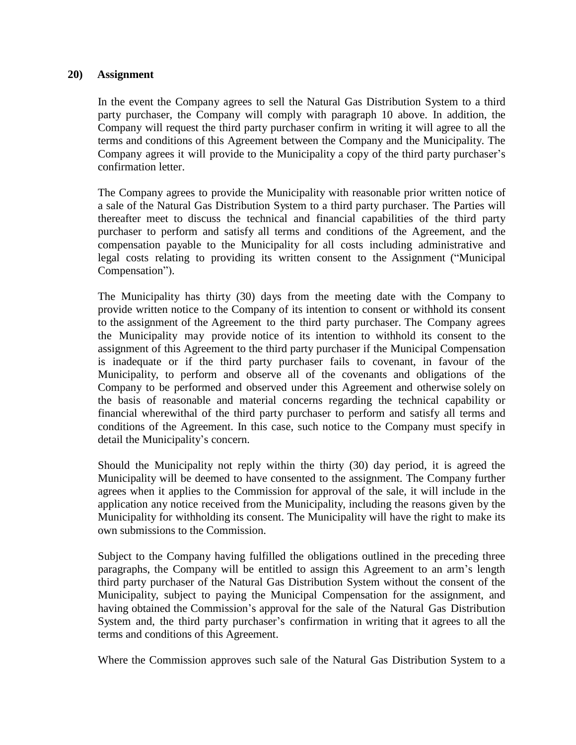#### <span id="page-22-0"></span>**20) Assignment**

In the event the Company agrees to sell the Natural Gas Distribution System to a third party purchaser, the Company will comply with paragraph 10 above. In addition, the Company will request the third party purchaser confirm in writing it will agree to all the terms and conditions of this Agreement between the Company and the Municipality. The Company agrees it will provide to the Municipality a copy of the third party purchaser's confirmation letter.

The Company agrees to provide the Municipality with reasonable prior written notice of a sale of the Natural Gas Distribution System to a third party purchaser. The Parties will thereafter meet to discuss the technical and financial capabilities of the third party purchaser to perform and satisfy all terms and conditions of the Agreement, and the compensation payable to the Municipality for all costs including administrative and legal costs relating to providing its written consent to the Assignment ("Municipal Compensation").

The Municipality has thirty (30) days from the meeting date with the Company to provide written notice to the Company of its intention to consent or withhold its consent to the assignment of the Agreement to the third party purchaser. The Company agrees the Municipality may provide notice of its intention to withhold its consent to the assignment of this Agreement to the third party purchaser if the Municipal Compensation is inadequate or if the third party purchaser fails to covenant, in favour of the Municipality, to perform and observe all of the covenants and obligations of the Company to be performed and observed under this Agreement and otherwise solely on the basis of reasonable and material concerns regarding the technical capability or financial wherewithal of the third party purchaser to perform and satisfy all terms and conditions of the Agreement. In this case, such notice to the Company must specify in detail the Municipality's concern.

Should the Municipality not reply within the thirty (30) day period, it is agreed the Municipality will be deemed to have consented to the assignment. The Company further agrees when it applies to the Commission for approval of the sale, it will include in the application any notice received from the Municipality, including the reasons given by the Municipality for withholding its consent. The Municipality will have the right to make its own submissions to the Commission.

Subject to the Company having fulfilled the obligations outlined in the preceding three paragraphs, the Company will be entitled to assign this Agreement to an arm's length third party purchaser of the Natural Gas Distribution System without the consent of the Municipality, subject to paying the Municipal Compensation for the assignment, and having obtained the Commission's approval for the sale of the Natural Gas Distribution System and, the third party purchaser's confirmation in writing that it agrees to all the terms and conditions of this Agreement.

Where the Commission approves such sale of the Natural Gas Distribution System to a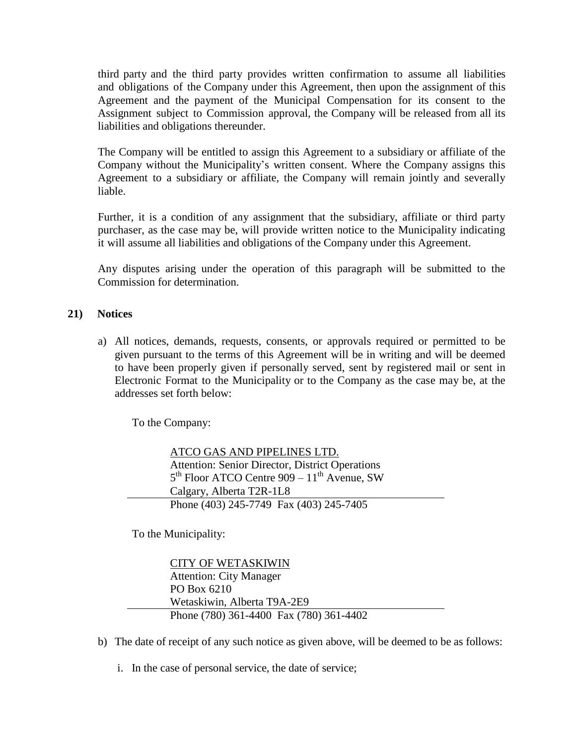third party and the third party provides written confirmation to assume all liabilities and obligations of the Company under this Agreement, then upon the assignment of this Agreement and the payment of the Municipal Compensation for its consent to the Assignment subject to Commission approval, the Company will be released from all its liabilities and obligations thereunder.

The Company will be entitled to assign this Agreement to a subsidiary or affiliate of the Company without the Municipality's written consent. Where the Company assigns this Agreement to a subsidiary or affiliate, the Company will remain jointly and severally liable.

Further, it is a condition of any assignment that the subsidiary, affiliate or third party purchaser, as the case may be, will provide written notice to the Municipality indicating it will assume all liabilities and obligations of the Company under this Agreement.

Any disputes arising under the operation of this paragraph will be submitted to the Commission for determination.

# <span id="page-23-0"></span>**21) Notices**

a) All notices, demands, requests, consents, or approvals required or permitted to be given pursuant to the terms of this Agreement will be in writing and will be deemed to have been properly given if personally served, sent by registered mail or sent in Electronic Format to the Municipality or to the Company as the case may be, at the addresses set forth below:

To the Company:

ATCO GAS AND PIPELINES LTD. Attention: Senior Director, District Operations  $5<sup>th</sup>$  Floor ATCO Centre 909 –  $11<sup>th</sup>$  Avenue, SW Calgary, Alberta T2R-1L8 Phone (403) 245-7749 Fax (403) 245-7405

To the Municipality:

CITY OF WETASKIWIN Attention: City Manager PO Box 6210 Wetaskiwin, Alberta T9A-2E9 Phone (780) 361-4400 Fax (780) 361-4402

- b) The date of receipt of any such notice as given above, will be deemed to be as follows:
	- i. In the case of personal service, the date of service;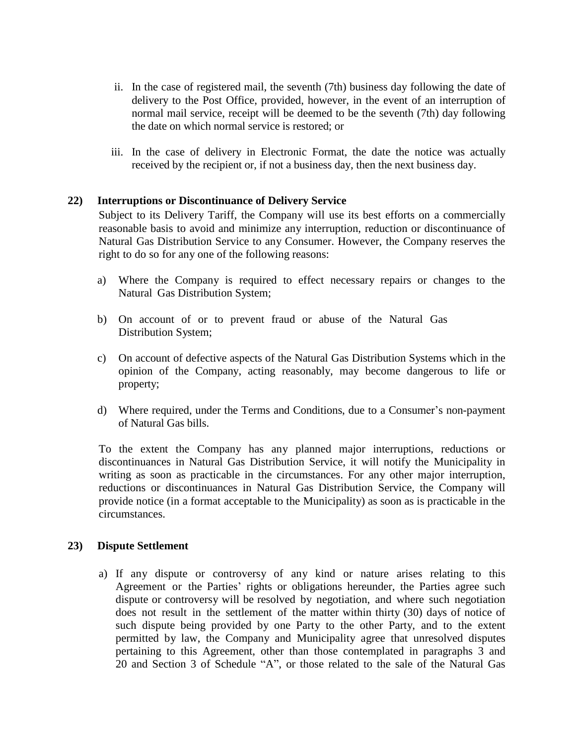- ii. In the case of registered mail, the seventh (7th) business day following the date of delivery to the Post Office, provided, however, in the event of an interruption of normal mail service, receipt will be deemed to be the seventh (7th) day following the date on which normal service is restored; or
- iii. In the case of delivery in Electronic Format, the date the notice was actually received by the recipient or, if not a business day, then the next business day.

#### <span id="page-24-0"></span>**22) Interruptions or Discontinuance of Delivery Service**

Subject to its Delivery Tariff, the Company will use its best efforts on a commercially reasonable basis to avoid and minimize any interruption, reduction or discontinuance of Natural Gas Distribution Service to any Consumer. However, the Company reserves the right to do so for any one of the following reasons:

- a) Where the Company is required to effect necessary repairs or changes to the Natural Gas Distribution System;
- b) On account of or to prevent fraud or abuse of the Natural Gas Distribution System;
- c) On account of defective aspects of the Natural Gas Distribution Systems which in the opinion of the Company, acting reasonably, may become dangerous to life or property;
- d) Where required, under the Terms and Conditions, due to a Consumer's non-payment of Natural Gas bills.

To the extent the Company has any planned major interruptions, reductions or discontinuances in Natural Gas Distribution Service, it will notify the Municipality in writing as soon as practicable in the circumstances. For any other major interruption, reductions or discontinuances in Natural Gas Distribution Service, the Company will provide notice (in a format acceptable to the Municipality) as soon as is practicable in the circumstances.

### <span id="page-24-1"></span>**23) Dispute Settlement**

a) If any dispute or controversy of any kind or nature arises relating to this Agreement or the Parties' rights or obligations hereunder, the Parties agree such dispute or controversy will be resolved by negotiation, and where such negotiation does not result in the settlement of the matter within thirty (30) days of notice of such dispute being provided by one Party to the other Party, and to the extent permitted by law, the Company and Municipality agree that unresolved disputes pertaining to this Agreement, other than those contemplated in paragraphs 3 and 20 and Section 3 of Schedule "A", or those related to the sale of the Natural Gas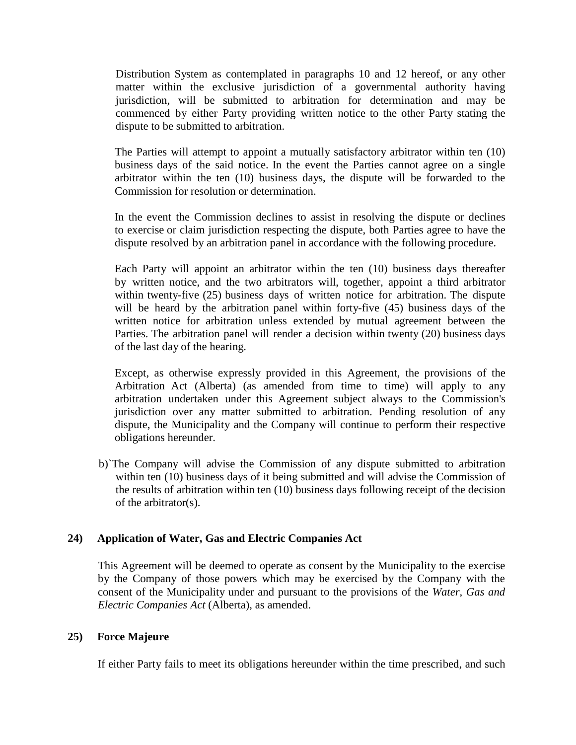Distribution System as contemplated in paragraphs 10 and 12 hereof, or any other matter within the exclusive jurisdiction of a governmental authority having jurisdiction, will be submitted to arbitration for determination and may be commenced by either Party providing written notice to the other Party stating the dispute to be submitted to arbitration.

The Parties will attempt to appoint a mutually satisfactory arbitrator within ten (10) business days of the said notice. In the event the Parties cannot agree on a single arbitrator within the ten (10) business days, the dispute will be forwarded to the Commission for resolution or determination.

In the event the Commission declines to assist in resolving the dispute or declines to exercise or claim jurisdiction respecting the dispute, both Parties agree to have the dispute resolved by an arbitration panel in accordance with the following procedure.

Each Party will appoint an arbitrator within the ten (10) business days thereafter by written notice, and the two arbitrators will, together, appoint a third arbitrator within twenty-five (25) business days of written notice for arbitration. The dispute will be heard by the arbitration panel within forty-five (45) business days of the written notice for arbitration unless extended by mutual agreement between the Parties. The arbitration panel will render a decision within twenty (20) business days of the last day of the hearing.

Except, as otherwise expressly provided in this Agreement, the provisions of the Arbitration Act (Alberta) (as amended from time to time) will apply to any arbitration undertaken under this Agreement subject always to the Commission's jurisdiction over any matter submitted to arbitration. Pending resolution of any dispute, the Municipality and the Company will continue to perform their respective obligations hereunder.

b)`The Company will advise the Commission of any dispute submitted to arbitration within ten (10) business days of it being submitted and will advise the Commission of the results of arbitration within ten (10) business days following receipt of the decision of the arbitrator(s).

### <span id="page-25-0"></span>**24) Application of Water, Gas and Electric Companies Act**

This Agreement will be deemed to operate as consent by the Municipality to the exercise by the Company of those powers which may be exercised by the Company with the consent of the Municipality under and pursuant to the provisions of the *Water, Gas and Electric Companies Act* (Alberta), as amended.

### <span id="page-25-1"></span>**25) Force Majeure**

If either Party fails to meet its obligations hereunder within the time prescribed, and such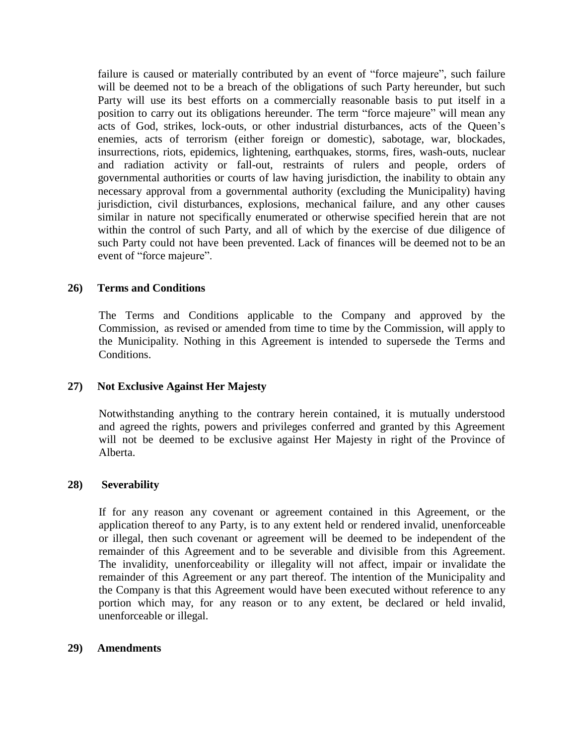failure is caused or materially contributed by an event of "force majeure", such failure will be deemed not to be a breach of the obligations of such Party hereunder, but such Party will use its best efforts on a commercially reasonable basis to put itself in a position to carry out its obligations hereunder. The term "force majeure" will mean any acts of God, strikes, lock-outs, or other industrial disturbances, acts of the Queen's enemies, acts of terrorism (either foreign or domestic), sabotage, war, blockades, insurrections, riots, epidemics, lightening, earthquakes, storms, fires, wash-outs, nuclear and radiation activity or fall-out, restraints of rulers and people, orders of governmental authorities or courts of law having jurisdiction, the inability to obtain any necessary approval from a governmental authority (excluding the Municipality) having jurisdiction, civil disturbances, explosions, mechanical failure, and any other causes similar in nature not specifically enumerated or otherwise specified herein that are not within the control of such Party, and all of which by the exercise of due diligence of such Party could not have been prevented. Lack of finances will be deemed not to be an event of "force majeure".

### <span id="page-26-0"></span>**26) Terms and Conditions**

The Terms and Conditions applicable to the Company and approved by the Commission, as revised or amended from time to time by the Commission, will apply to the Municipality. Nothing in this Agreement is intended to supersede the Terms and Conditions.

### <span id="page-26-1"></span>**27) Not Exclusive Against Her Majesty**

Notwithstanding anything to the contrary herein contained, it is mutually understood and agreed the rights, powers and privileges conferred and granted by this Agreement will not be deemed to be exclusive against Her Majesty in right of the Province of Alberta.

### <span id="page-26-2"></span>**28) Severability**

If for any reason any covenant or agreement contained in this Agreement, or the application thereof to any Party, is to any extent held or rendered invalid, unenforceable or illegal, then such covenant or agreement will be deemed to be independent of the remainder of this Agreement and to be severable and divisible from this Agreement. The invalidity, unenforceability or illegality will not affect, impair or invalidate the remainder of this Agreement or any part thereof. The intention of the Municipality and the Company is that this Agreement would have been executed without reference to any portion which may, for any reason or to any extent, be declared or held invalid, unenforceable or illegal.

### <span id="page-26-3"></span>**29) Amendments**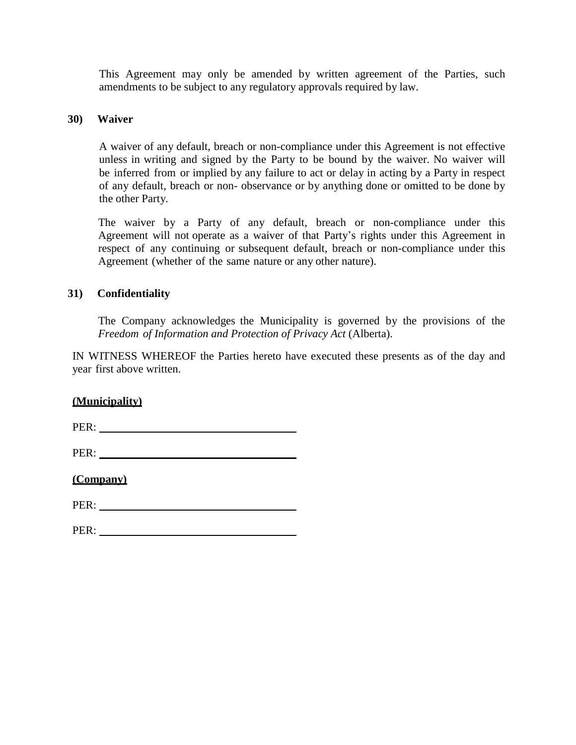This Agreement may only be amended by written agreement of the Parties, such amendments to be subject to any regulatory approvals required by law.

#### <span id="page-27-0"></span>**30) Waiver**

A waiver of any default, breach or non-compliance under this Agreement is not effective unless in writing and signed by the Party to be bound by the waiver. No waiver will be inferred from or implied by any failure to act or delay in acting by a Party in respect of any default, breach or non- observance or by anything done or omitted to be done by the other Party.

The waiver by a Party of any default, breach or non-compliance under this Agreement will not operate as a waiver of that Party's rights under this Agreement in respect of any continuing or subsequent default, breach or non-compliance under this Agreement (whether of the same nature or any other nature).

### <span id="page-27-1"></span>**31) Confidentiality**

The Company acknowledges the Municipality is governed by the provisions of the *Freedom of Information and Protection of Privacy Act* (Alberta).

IN WITNESS WHEREOF the Parties hereto have executed these presents as of the day and year first above written.

**(Municipality)**

PER:

PER:

**(Company)**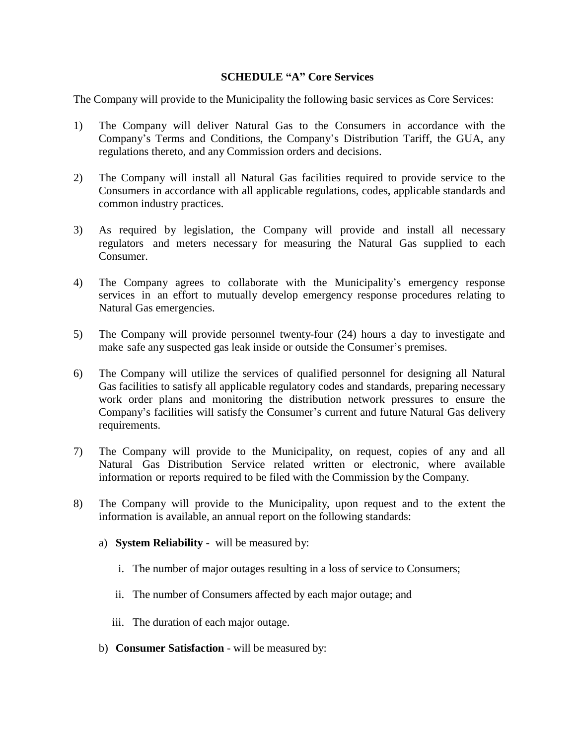### **SCHEDULE "A" Core Services**

The Company will provide to the Municipality the following basic services as Core Services:

- 1) The Company will deliver Natural Gas to the Consumers in accordance with the Company's Terms and Conditions, the Company's Distribution Tariff, the GUA, any regulations thereto, and any Commission orders and decisions.
- 2) The Company will install all Natural Gas facilities required to provide service to the Consumers in accordance with all applicable regulations, codes, applicable standards and common industry practices.
- 3) As required by legislation, the Company will provide and install all necessary regulators and meters necessary for measuring the Natural Gas supplied to each Consumer.
- 4) The Company agrees to collaborate with the Municipality's emergency response services in an effort to mutually develop emergency response procedures relating to Natural Gas emergencies.
- 5) The Company will provide personnel twenty-four (24) hours a day to investigate and make safe any suspected gas leak inside or outside the Consumer's premises.
- 6) The Company will utilize the services of qualified personnel for designing all Natural Gas facilities to satisfy all applicable regulatory codes and standards, preparing necessary work order plans and monitoring the distribution network pressures to ensure the Company's facilities will satisfy the Consumer's current and future Natural Gas delivery requirements.
- 7) The Company will provide to the Municipality, on request, copies of any and all Natural Gas Distribution Service related written or electronic, where available information or reports required to be filed with the Commission by the Company.
- 8) The Company will provide to the Municipality, upon request and to the extent the information is available, an annual report on the following standards:
	- a) **System Reliability**  will be measured by:
		- i. The number of major outages resulting in a loss of service to Consumers;
		- ii. The number of Consumers affected by each major outage; and
		- iii. The duration of each major outage.
	- b) **Consumer Satisfaction** will be measured by: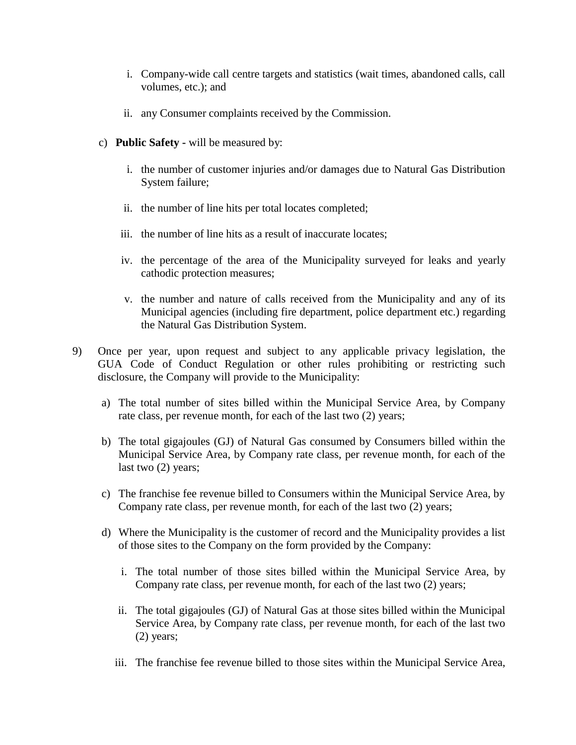- i. Company-wide call centre targets and statistics (wait times, abandoned calls, call volumes, etc.); and
- ii. any Consumer complaints received by the Commission.
- c) **Public Safety -** will be measured by:
	- i. the number of customer injuries and/or damages due to Natural Gas Distribution System failure;
	- ii. the number of line hits per total locates completed;
	- iii. the number of line hits as a result of inaccurate locates;
	- iv. the percentage of the area of the Municipality surveyed for leaks and yearly cathodic protection measures;
	- v. the number and nature of calls received from the Municipality and any of its Municipal agencies (including fire department, police department etc.) regarding the Natural Gas Distribution System.
- 9) Once per year, upon request and subject to any applicable privacy legislation, the GUA Code of Conduct Regulation or other rules prohibiting or restricting such disclosure, the Company will provide to the Municipality:
	- a) The total number of sites billed within the Municipal Service Area, by Company rate class, per revenue month, for each of the last two (2) years;
	- b) The total gigajoules (GJ) of Natural Gas consumed by Consumers billed within the Municipal Service Area, by Company rate class, per revenue month, for each of the last two (2) years;
	- c) The franchise fee revenue billed to Consumers within the Municipal Service Area, by Company rate class, per revenue month, for each of the last two (2) years;
	- d) Where the Municipality is the customer of record and the Municipality provides a list of those sites to the Company on the form provided by the Company:
		- i. The total number of those sites billed within the Municipal Service Area, by Company rate class, per revenue month, for each of the last two (2) years;
		- ii. The total gigajoules (GJ) of Natural Gas at those sites billed within the Municipal Service Area, by Company rate class, per revenue month, for each of the last two (2) years;
		- iii. The franchise fee revenue billed to those sites within the Municipal Service Area,